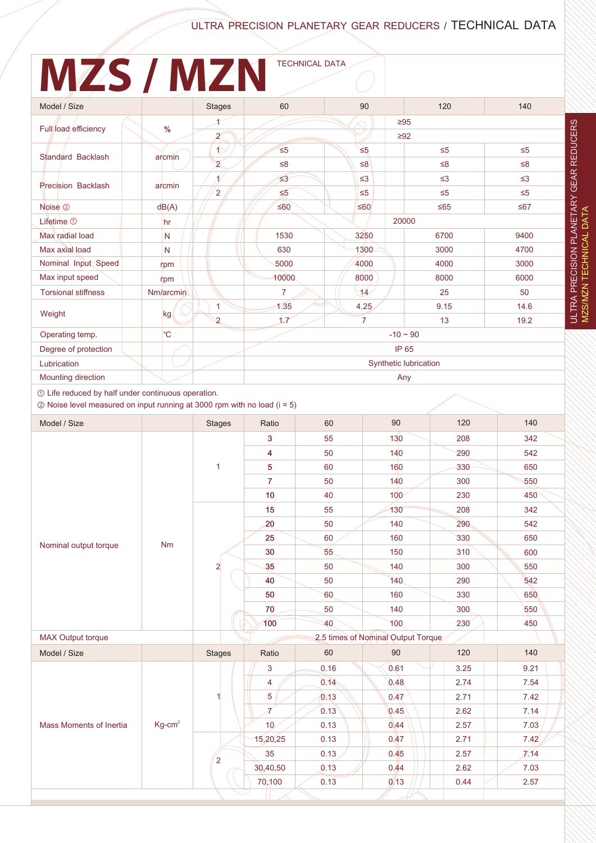### ULTRA PRECISION PLANETARY GEAR REDUCERS / TECHNICAL DATA

# **MZS / MZN** TECHNICAL DATA

| Model / Size               |             | <b>Stages</b>  | 60                    | 90             | 120                    | 140      |
|----------------------------|-------------|----------------|-----------------------|----------------|------------------------|----------|
| Full load efficiency       | %           | $\mathbf{z}$   |                       |                | $\geq 95$<br>$\geq 92$ |          |
| Standard Backlash          | arcmin      | $\hat{1}$      | $\leq 5$              | $\leq 5$       | $\leq 5$               | $\leq 5$ |
|                            |             | $\overline{2}$ | $\leq 8$              | $\leq 8$       | $\leq 8$               | $\leq 8$ |
| Precision Backlash         | arcmin      |                | $\leq 3$              | $\leq$ 3       | $\leq$ 3               | $\leq$ 3 |
|                            |             | 2              | $\leq 5$              | $\leq 5$       | $\leq 5$               | $\leq 5$ |
| Noise <sup>2</sup>         | dB(A)       |                | $≤60$                 | $\leq 60$      | $≤65$                  | $≤67$    |
| Lifetime $0$               | hr          |                |                       |                | 20000                  |          |
| Max radial load            | N           |                | 1530                  | 3250           | 6700                   | 9400     |
| Max axial load             | N           |                | 630                   | 1300           | 3000                   | 4700     |
| Nominal Input Speed        | rpm         |                | 5000                  | 4000           | 4000                   | 3000     |
| Max input speed            | rpm         |                | 10000                 | 8000           | 8000                   | 6000     |
| <b>Torsional stiffness</b> | Nm/arcmin   |                | $\overline{7}$        | $\sqrt{14}$    | 25                     | 50       |
| Weight                     | kg          | 1              | 1.35                  | 4.25           | 9.15                   | 14.6     |
|                            |             | $\mathbf{2}$   | 1.7                   | $\overline{7}$ | 13                     | 19.2     |
| Operating temp.            | $^{\circ}C$ |                | $-10 \sim 90$         |                |                        |          |
| Degree of protection       |             |                | IP 65                 |                |                        |          |
| Lubrication                |             |                | Synthetic lubrication |                |                        |          |
| Mounting direction         |             |                | Any                   |                |                        |          |

① Life reduced by half under continuous operation.

② Noise level measured on input running at 3000 rpm with no load (i = 5)

| Model / Size                   |           | <b>Stages</b>                      | Ratio             | 60   | 90               | 120  | 140  |
|--------------------------------|-----------|------------------------------------|-------------------|------|------------------|------|------|
|                                |           |                                    | 3                 | 55   | 130              | 208  | 342  |
| Nominal output torque          | <b>Nm</b> |                                    | 4                 | 50   | 140              | 290  | 542  |
|                                |           | $\mathbf{1}$                       | 5                 | 60   | 160              | 330  | 650  |
|                                |           |                                    | $\overline{7}$    | 50   | 140              | 300  | 550  |
|                                |           |                                    | 10                | 40   | 100 <sub>o</sub> | 230  | 450  |
|                                |           | $\overline{a}$                     | 15                | 55   | 130              | 208  | 342  |
|                                |           |                                    | 20                | 50   | 140              | 290  | 542  |
|                                |           |                                    | 25                | 60   | 160              | 330  | 650  |
|                                |           |                                    | 30                | 55   | 150              | 310  | 600  |
|                                |           |                                    | 35                | 50   | 140              | 300  | 550  |
|                                |           |                                    | 40                | 50   | 140              | 290  | 542  |
|                                |           |                                    | 50                | 60   | 160              | 330  | 650  |
|                                |           |                                    | 70                | 50   | 140              | 300  | 550  |
|                                |           |                                    | 100               | 40   | 100              | 230  | 450  |
| <b>MAX Output torque</b>       |           | 2.5 times of Nominal Output Torque |                   |      |                  |      |      |
| Model / Size                   |           | <b>Stages</b>                      | Ratio             | 60   | 90               | 120  | 140  |
| <b>Mass Moments of Inertia</b> | $Kg-cm2$  |                                    | 3                 | 0.16 | 0.61             | 3.25 | 9.21 |
|                                |           |                                    | 4                 | 0.14 | 0.48             | 2.74 | 7.54 |
|                                |           |                                    | 5                 | 0.13 | 0.47             | 2.71 | 7.42 |
|                                |           |                                    | $\overline{\tau}$ | 0.13 | 0.45             | 2.62 | 7.14 |
|                                |           |                                    | 10 <sub>2</sub>   | 0.13 | 0.44             | 2.57 | 7.03 |
|                                |           | $\overline{\mathbf{c}}$            | 15,20,25          | 0.13 | 0.47             | 2.71 | 7.42 |
|                                |           |                                    | 35                | 0.13 | 0.45             | 2.57 | 7/14 |
|                                |           |                                    | 30,40,50          | 0.13 | 0.44             | 2.62 | 7.03 |
|                                |           |                                    | 70,100            | 0.13 | 0.13             | 0.44 | 2.57 |
|                                |           |                                    |                   |      |                  |      |      |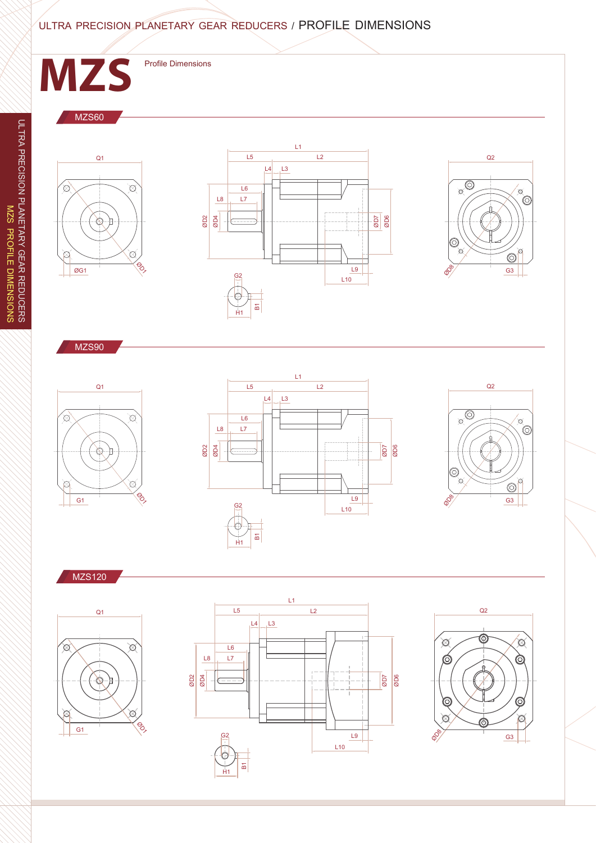#### ULTRA PRECISION PLANETARY GEAR REDUCERS / PROFILE DIMENSIONS



 $L9$ 

L10

G2  $\qquad \qquad \qquad \qquad$   $\qquad \qquad$   $\qquad \qquad$   $\qquad \qquad$   $\qquad \qquad$   $\qquad \qquad$   $\qquad \qquad$   $\qquad \qquad$   $\qquad \qquad$   $\qquad \qquad$   $\qquad$   $\qquad \qquad$   $\qquad$   $\qquad$   $\qquad$   $\qquad$   $\qquad$   $\qquad$   $\qquad$   $\qquad$   $\qquad$   $\qquad$   $\qquad$   $\qquad$   $\qquad$   $\qquad$   $\qquad$   $\qquad$   $\qquad$   $\qquad$ 

 $\overline{B}$ H1

 $\hat{\circ}$ 

 $\frac{G3}{4}$ 

 $\circledcirc$ 

 $\oslash$ 

Top

G1